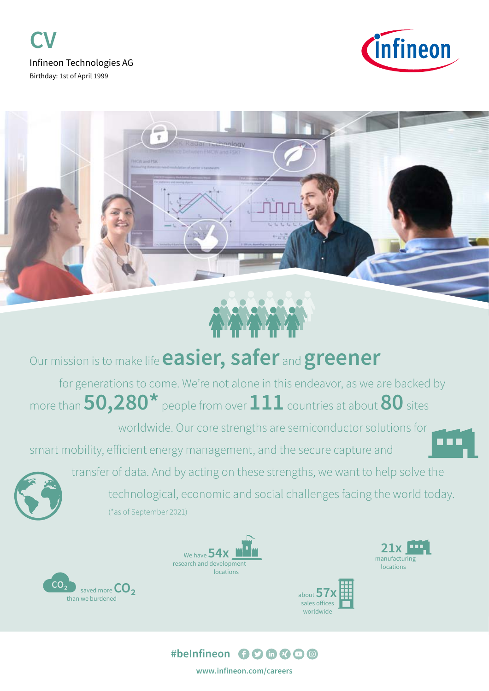



# Our mission is to make life **easier, safer** and **greener**

for generations to come. We're not alone in this endeavor, as we are backed by more than **50,280\*** people from over **111** countries at about **80** sites

worldwide. Our core strengths are semiconductor solutions for

smart mobility, efficient energy management, and the secure capture and



 transfer of data. And by acting on these strengths, we want to help solve the technological, economic and social challenges facing the world today. (\*as of September 2021)







m



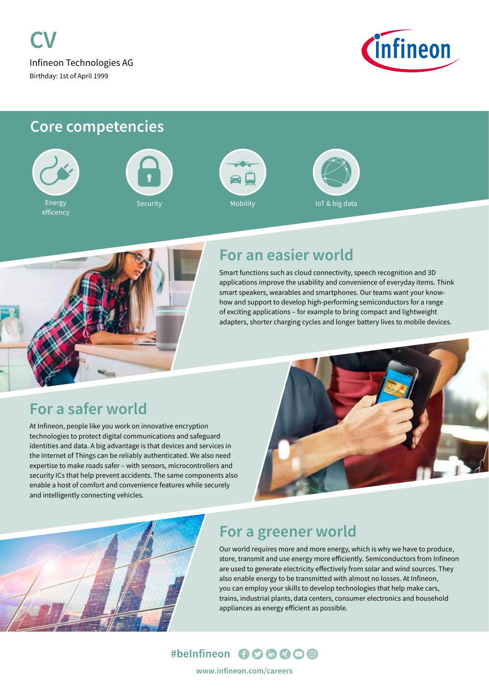

### **Core competencies**











### **For an easier world**

Smart functions such as cloud connectivity, speech recognition and 3D applications improve the usability and convenience of everyday items. Think smart speakers, wearables and smartphones. Our teams want your knowhow and support to develop high-performing semiconductors for a range of exciting applications – for example to bring compact and lightweight adapters, shorter charging cycles and longer battery lives to mobile devices.

### **For a safer world**

At Infineon, people like you work on innovative encryption technologies to protect digital communications and safeguard identities and data. A big advantage is that devices and services in the Internet of Things can be reliably authenticated. We also need expertise to make roads safer – with sensors, microcontrollers and security ICs that help prevent accidents. The same components also enable a host of comfort and convenience features while securely and intelligently connecting vehicles.



### **For a greener world**

Our world requires more and more energy, which is why we have to produce, store, transmit and use energy more efficiently. Semiconductors from Infineon are used to generate electricity effectively from solar and wind sources. They also enable energy to be transmitted with almost no losses. At Infineon, you can employ your skills to develop technologies that help make cars, trains, industrial plants, data centers, consumer electronics and household appliances as energy efficient as possible.

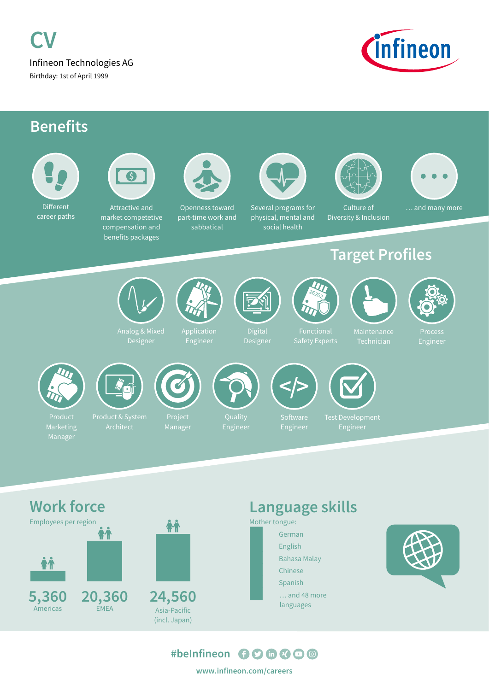

### **Benefits**





Attractive and market competetive compensation and benefits packages



Openness toward part-time work and sabbatical



Several programs for physical, mental and social health



Diversity & Inclusion



### **Target Profiles**





厄

26262





Product



Product & System Architect



**Quality** 



**</>**



### **Work force Language skills** Employees per region Mother tongue: *A1* **#1 German English Bahasa Malay Chinese Spanish 5,360 20,360 24,560**  $\ldots$  and 48 more languages Americas EMEA Asia-Pacific (incl. Japan)



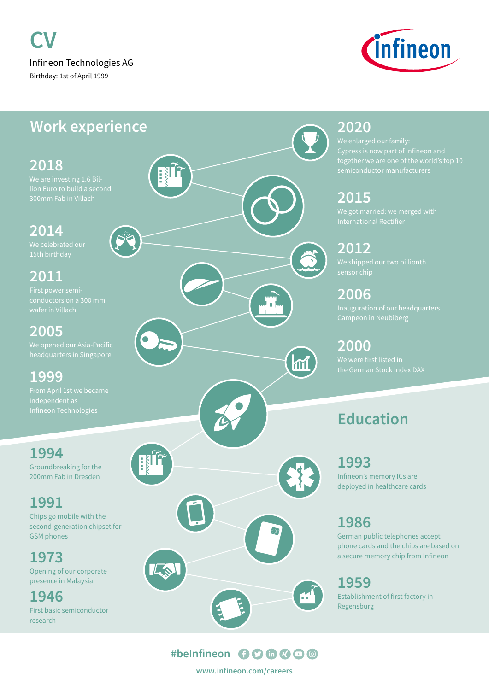

### **Work experience**

### **2018**

We are investing 1.6 Bil-

### **2014**

### **sensor chip** sensor chip

### **2005**

### **1994**

Groundbreaking for the 200mm Fab in Dresden

### **1991**

Chips go mobile with the second-generation chipset for GSM phones

Opening of our corporate

**1946** First basic semiconductor research



### **2020**

We enlarged our family:

### **2015**

### **2012**

### **2006**

### **2000**

the German Stock Index DAX<br> **1999** 

## **Education**

**1993** Infineon's memory ICs are deployed in healthcare cards

### **1986**

German public telephones accept phone cards and the chips are based on

Establishment of first factory in Regensburg

#beInfineon **00000**